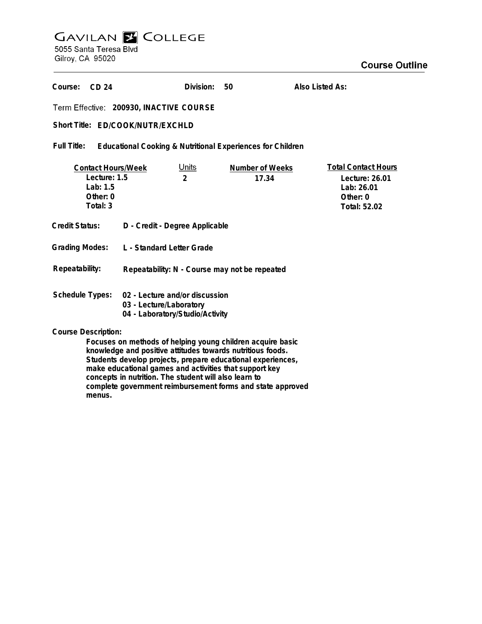## **GAVILAN E COLLEGE**<br>5055 Santa Teresa Blvd

Gilroy, CA 95020

## **Course Outline**

| Course:<br>CD <sub>24</sub>                                                                                                                                                                                           |                                               | Division:                      | 50                       | Also Listed As:                                                                        |
|-----------------------------------------------------------------------------------------------------------------------------------------------------------------------------------------------------------------------|-----------------------------------------------|--------------------------------|--------------------------|----------------------------------------------------------------------------------------|
| Term Effective: 200930, INACTIVE COURSE                                                                                                                                                                               |                                               |                                |                          |                                                                                        |
| Short Title: ED/COOK/NUTR/EXCHLD                                                                                                                                                                                      |                                               |                                |                          |                                                                                        |
| Full Title:<br><b>Educational Cooking &amp; Nutritional Experiences for Children</b>                                                                                                                                  |                                               |                                |                          |                                                                                        |
| <b>Contact Hours/Week</b><br>Lecture: 1.5<br>Lab: $1.5$<br>Other: 0<br>Total: 3                                                                                                                                       |                                               | <u>Units</u><br>$\mathfrak{D}$ | Number of Weeks<br>17.34 | <b>Total Contact Hours</b><br>Lecture: 26.01<br>Lab: 26.01<br>Other: 0<br>Total: 52.02 |
| <b>Credit Status:</b>                                                                                                                                                                                                 | D - Credit - Degree Applicable                |                                |                          |                                                                                        |
| <b>Grading Modes:</b>                                                                                                                                                                                                 | L - Standard Letter Grade                     |                                |                          |                                                                                        |
| Repeatability:                                                                                                                                                                                                        | Repeatability: N - Course may not be repeated |                                |                          |                                                                                        |
| <b>Schedule Types:</b><br>02 - Lecture and/or discussion<br>03 - Lecture/Laboratory<br>04 - Laboratory/Studio/Activity                                                                                                |                                               |                                |                          |                                                                                        |
| <b>Course Description:</b><br>Focuses on methods of helping young children acquire basic<br>knowledge and positive attitudes towards nutritious foods.<br>Students develop projects, prepare educational experiences, |                                               |                                |                          |                                                                                        |

**make educational games and activities that support key concepts in nutrition. The student will also learn to complete government reimbursement forms and state approved menus.**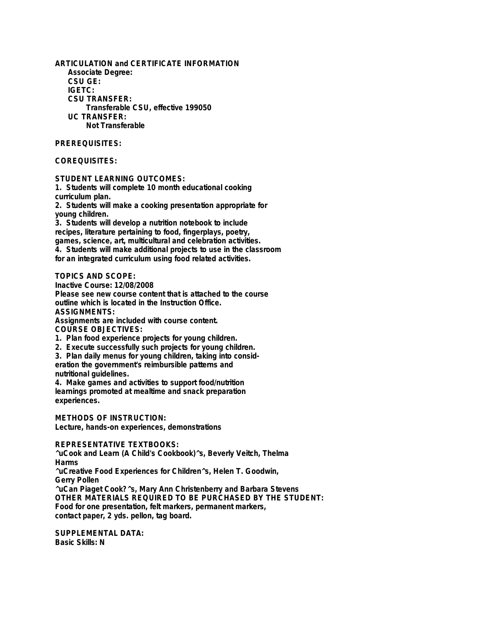**ARTICULATION and CERTIFICATE INFORMATION Associate Degree: CSU GE: IGETC: CSU TRANSFER: Transferable CSU, effective 199050 UC TRANSFER: Not Transferable**

**PREREQUISITES:**

## **COREQUISITES:**

**STUDENT LEARNING OUTCOMES:**

**1. Students will complete 10 month educational cooking curriculum plan.**

**2. Students will make a cooking presentation appropriate for young children.**

**3. Students will develop a nutrition notebook to include recipes, literature pertaining to food, fingerplays, poetry, games, science, art, multicultural and celebration activities. 4. Students will make additional projects to use in the classroom for an integrated curriculum using food related activities.**

**TOPICS AND SCOPE:**

**Inactive Course: 12/08/2008**

**Please see new course content that is attached to the course outline which is located in the Instruction Office. ASSIGNMENTS:**

**Assignments are included with course content. COURSE OBJECTIVES:**

**1. Plan food experience projects for young children.**

- **2. Execute successfully such projects for young children.**
- **3. Plan daily menus for young children, taking into consid-**

**eration the government's reimbursible patterns and nutritional guidelines.**

**4. Make games and activities to support food/nutrition learnings promoted at mealtime and snack preparation experiences.**

**METHODS OF INSTRUCTION: Lecture, hands-on experiences, demonstrations**

**REPRESENTATIVE TEXTBOOKS:**

**^uCook and Learn (A Child's Cookbook)^s, Beverly Veitch, Thelma Harms**

**^uCreative Food Experiences for Children^s, Helen T. Goodwin, Gerry Pollen**

**^uCan Piaget Cook?^s, Mary Ann Christenberry and Barbara Stevens OTHER MATERIALS REQUIRED TO BE PURCHASED BY THE STUDENT: Food for one presentation, felt markers, permanent markers, contact paper, 2 yds. pellon, tag board.**

**SUPPLEMENTAL DATA: Basic Skills: N**